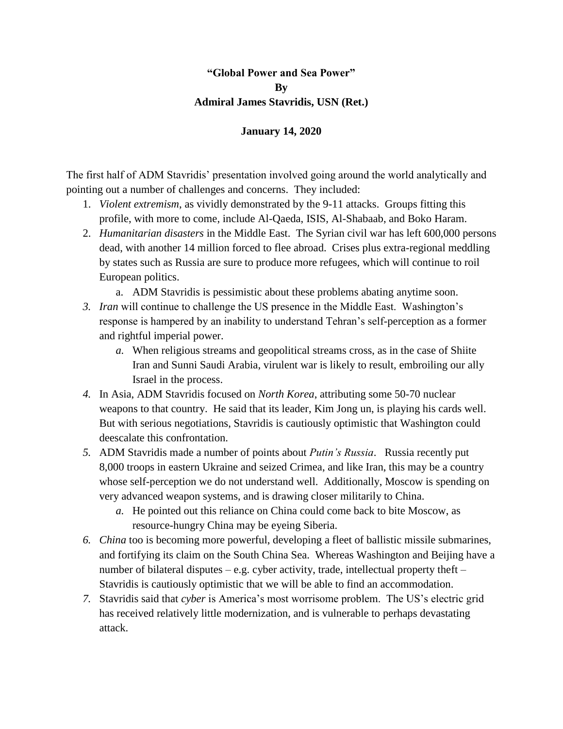## **"Global Power and Sea Power" By Admiral James Stavridis, USN (Ret.)**

## **January 14, 2020**

The first half of ADM Stavridis' presentation involved going around the world analytically and pointing out a number of challenges and concerns. They included:

- 1. *Violent extremism*, as vividly demonstrated by the 9-11 attacks. Groups fitting this profile, with more to come, include Al-Qaeda, ISIS, Al-Shabaab, and Boko Haram.
- 2. *Humanitarian disasters* in the Middle East. The Syrian civil war has left 600,000 persons dead, with another 14 million forced to flee abroad. Crises plus extra-regional meddling by states such as Russia are sure to produce more refugees, which will continue to roil European politics.
	- a. ADM Stavridis is pessimistic about these problems abating anytime soon.
- *3. Iran* will continue to challenge the US presence in the Middle East. Washington's response is hampered by an inability to understand Tehran's self-perception as a former and rightful imperial power.
	- *a.* When religious streams and geopolitical streams cross, as in the case of Shiite Iran and Sunni Saudi Arabia, virulent war is likely to result, embroiling our ally Israel in the process.
- *4.* In Asia, ADM Stavridis focused on *North Korea*, attributing some 50-70 nuclear weapons to that country. He said that its leader, Kim Jong un, is playing his cards well. But with serious negotiations, Stavridis is cautiously optimistic that Washington could deescalate this confrontation.
- *5.* ADM Stavridis made a number of points about *Putin's Russia*. Russia recently put 8,000 troops in eastern Ukraine and seized Crimea, and like Iran, this may be a country whose self-perception we do not understand well. Additionally, Moscow is spending on very advanced weapon systems, and is drawing closer militarily to China.
	- *a.* He pointed out this reliance on China could come back to bite Moscow, as resource-hungry China may be eyeing Siberia.
- *6. China* too is becoming more powerful, developing a fleet of ballistic missile submarines, and fortifying its claim on the South China Sea. Whereas Washington and Beijing have a number of bilateral disputes – e.g. cyber activity, trade, intellectual property theft – Stavridis is cautiously optimistic that we will be able to find an accommodation.
- *7.* Stavridis said that *cyber* is America's most worrisome problem. The US's electric grid has received relatively little modernization, and is vulnerable to perhaps devastating attack.